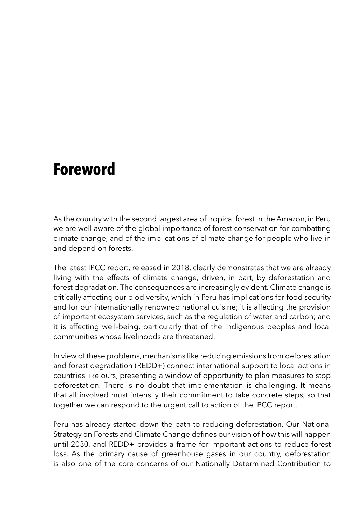## **Foreword**

As the country with the second largest area of tropical forest in the Amazon, in Peru we are well aware of the global importance of forest conservation for combatting climate change, and of the implications of climate change for people who live in and depend on forests.

The latest IPCC report, released in 2018, clearly demonstrates that we are already living with the effects of climate change, driven, in part, by deforestation and forest degradation. The consequences are increasingly evident. Climate change is critically affecting our biodiversity, which in Peru has implications for food security and for our internationally renowned national cuisine; it is affecting the provision of important ecosystem services, such as the regulation of water and carbon; and it is affecting well-being, particularly that of the indigenous peoples and local communities whose livelihoods are threatened.

In view of these problems, mechanisms like reducing emissions from deforestation and forest degradation (REDD+) connect international support to local actions in countries like ours, presenting a window of opportunity to plan measures to stop deforestation. There is no doubt that implementation is challenging. It means that all involved must intensify their commitment to take concrete steps, so that together we can respond to the urgent call to action of the IPCC report.

Peru has already started down the path to reducing deforestation. Our National Strategy on Forests and Climate Change defines our vision of how this will happen until 2030, and REDD+ provides a frame for important actions to reduce forest loss. As the primary cause of greenhouse gases in our country, deforestation is also one of the core concerns of our Nationally Determined Contribution to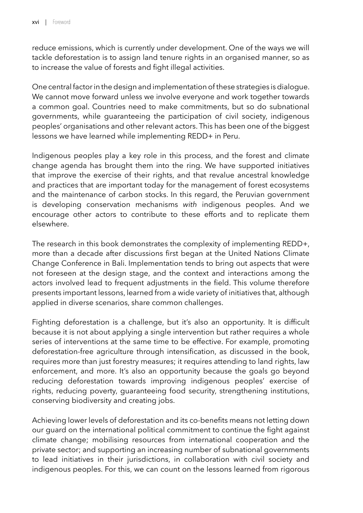reduce emissions, which is currently under development. One of the ways we will tackle deforestation is to assign land tenure rights in an organised manner, so as to increase the value of forests and fight illegal activities.

One central factor in the design and implementation of these strategies is dialogue. We cannot move forward unless we involve everyone and work together towards a common goal. Countries need to make commitments, but so do subnational governments, while guaranteeing the participation of civil society, indigenous peoples' organisations and other relevant actors. This has been one of the biggest lessons we have learned while implementing REDD+ in Peru.

Indigenous peoples play a key role in this process, and the forest and climate change agenda has brought them into the ring. We have supported initiatives that improve the exercise of their rights, and that revalue ancestral knowledge and practices that are important today for the management of forest ecosystems and the maintenance of carbon stocks. In this regard, the Peruvian government is developing conservation mechanisms *with* indigenous peoples. And we encourage other actors to contribute to these efforts and to replicate them elsewhere.

The research in this book demonstrates the complexity of implementing REDD+, more than a decade after discussions first began at the United Nations Climate Change Conference in Bali. Implementation tends to bring out aspects that were not foreseen at the design stage, and the context and interactions among the actors involved lead to frequent adjustments in the field. This volume therefore presents important lessons, learned from a wide variety of initiatives that, although applied in diverse scenarios, share common challenges.

Fighting deforestation is a challenge, but it's also an opportunity. It is difficult because it is not about applying a single intervention but rather requires a whole series of interventions at the same time to be effective. For example, promoting deforestation-free agriculture through intensification, as discussed in the book, requires more than just forestry measures; it requires attending to land rights, law enforcement, and more. It's also an opportunity because the goals go beyond reducing deforestation towards improving indigenous peoples' exercise of rights, reducing poverty, guaranteeing food security, strengthening institutions, conserving biodiversity and creating jobs.

Achieving lower levels of deforestation and its co-benefits means not letting down our guard on the international political commitment to continue the fight against climate change; mobilising resources from international cooperation and the private sector; and supporting an increasing number of subnational governments to lead initiatives in their jurisdictions, in collaboration with civil society and indigenous peoples. For this, we can count on the lessons learned from rigorous